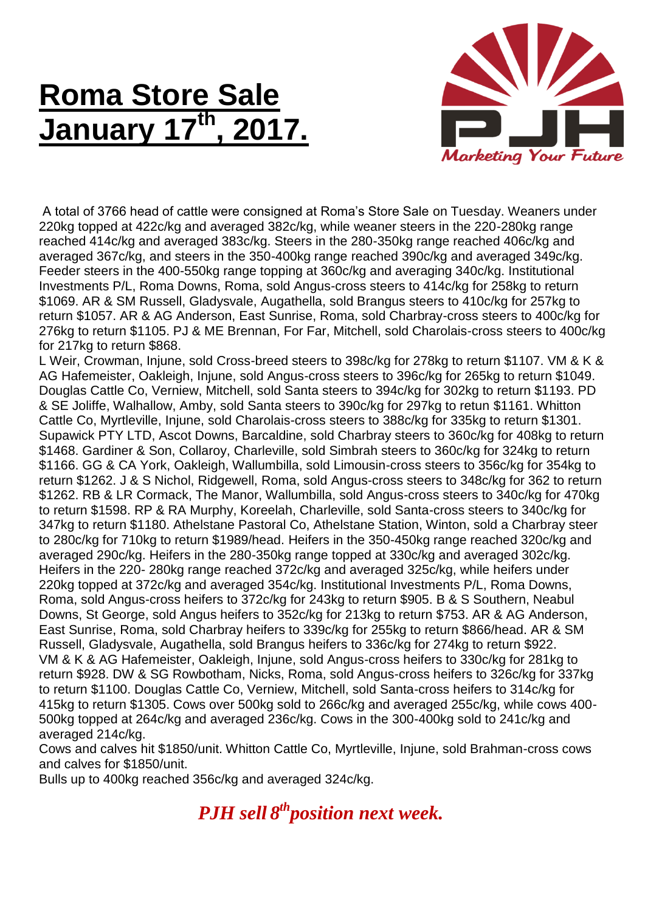## **Roma Store Sale January 17 th , 2017.**



A total of 3766 head of cattle were consigned at Roma's Store Sale on Tuesday. Weaners under 220kg topped at 422c/kg and averaged 382c/kg, while weaner steers in the 220-280kg range reached 414c/kg and averaged 383c/kg. Steers in the 280-350kg range reached 406c/kg and averaged 367c/kg, and steers in the 350-400kg range reached 390c/kg and averaged 349c/kg. Feeder steers in the 400-550kg range topping at 360c/kg and averaging 340c/kg. Institutional Investments P/L, Roma Downs, Roma, sold Angus-cross steers to 414c/kg for 258kg to return \$1069. AR & SM Russell, Gladysvale, Augathella, sold Brangus steers to 410c/kg for 257kg to return \$1057. AR & AG Anderson, East Sunrise, Roma, sold Charbray-cross steers to 400c/kg for 276kg to return \$1105. PJ & ME Brennan, For Far, Mitchell, sold Charolais-cross steers to 400c/kg for 217kg to return \$868.

L Weir, Crowman, Injune, sold Cross-breed steers to 398c/kg for 278kg to return \$1107. VM & K & AG Hafemeister, Oakleigh, Injune, sold Angus-cross steers to 396c/kg for 265kg to return \$1049. Douglas Cattle Co, Verniew, Mitchell, sold Santa steers to 394c/kg for 302kg to return \$1193. PD & SE Joliffe, Walhallow, Amby, sold Santa steers to 390c/kg for 297kg to retun \$1161. Whitton Cattle Co, Myrtleville, Injune, sold Charolais-cross steers to 388c/kg for 335kg to return \$1301. Supawick PTY LTD, Ascot Downs, Barcaldine, sold Charbray steers to 360c/kg for 408kg to return \$1468. Gardiner & Son, Collaroy, Charleville, sold Simbrah steers to 360c/kg for 324kg to return \$1166. GG & CA York, Oakleigh, Wallumbilla, sold Limousin-cross steers to 356c/kg for 354kg to return \$1262. J & S Nichol, Ridgewell, Roma, sold Angus-cross steers to 348c/kg for 362 to return \$1262. RB & LR Cormack, The Manor, Wallumbilla, sold Angus-cross steers to 340c/kg for 470kg to return \$1598. RP & RA Murphy, Koreelah, Charleville, sold Santa-cross steers to 340c/kg for 347kg to return \$1180. Athelstane Pastoral Co, Athelstane Station, Winton, sold a Charbray steer to 280c/kg for 710kg to return \$1989/head. Heifers in the 350-450kg range reached 320c/kg and averaged 290c/kg. Heifers in the 280-350kg range topped at 330c/kg and averaged 302c/kg. Heifers in the 220- 280kg range reached 372c/kg and averaged 325c/kg, while heifers under 220kg topped at 372c/kg and averaged 354c/kg. Institutional Investments P/L, Roma Downs, Roma, sold Angus-cross heifers to 372c/kg for 243kg to return \$905. B & S Southern, Neabul Downs, St George, sold Angus heifers to 352c/kg for 213kg to return \$753. AR & AG Anderson, East Sunrise, Roma, sold Charbray heifers to 339c/kg for 255kg to return \$866/head. AR & SM Russell, Gladysvale, Augathella, sold Brangus heifers to 336c/kg for 274kg to return \$922. VM & K & AG Hafemeister, Oakleigh, Injune, sold Angus-cross heifers to 330c/kg for 281kg to return \$928. DW & SG Rowbotham, Nicks, Roma, sold Angus-cross heifers to 326c/kg for 337kg to return \$1100. Douglas Cattle Co, Verniew, Mitchell, sold Santa-cross heifers to 314c/kg for 415kg to return \$1305. Cows over 500kg sold to 266c/kg and averaged 255c/kg, while cows 400- 500kg topped at 264c/kg and averaged 236c/kg. Cows in the 300-400kg sold to 241c/kg and averaged 214c/kg.

Cows and calves hit \$1850/unit. Whitton Cattle Co, Myrtleville, Injune, sold Brahman-cross cows and calves for \$1850/unit.

Bulls up to 400kg reached 356c/kg and averaged 324c/kg.

*PJH sell 8 thposition next week.*